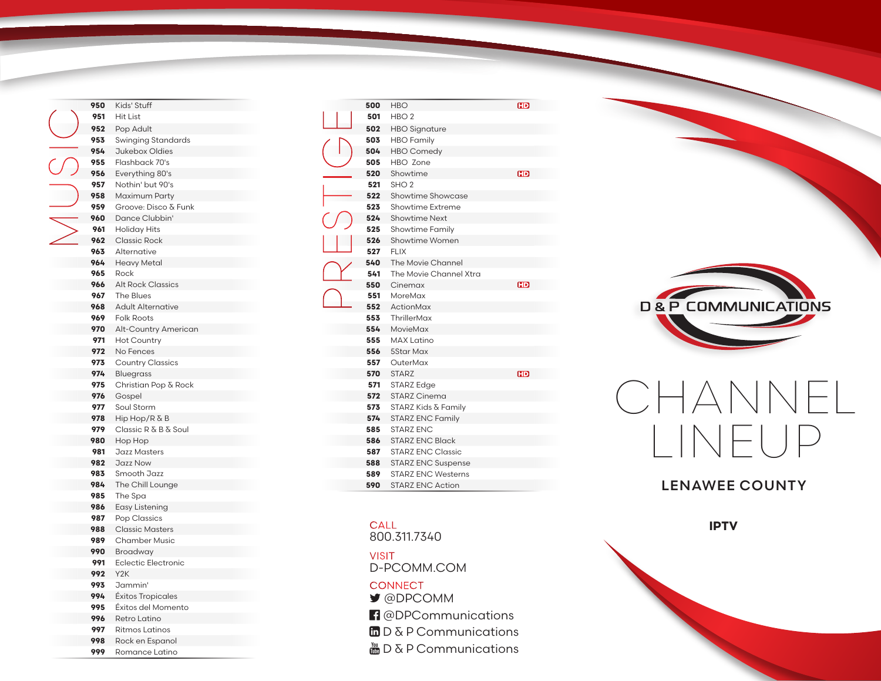| 950 | Kids' Stuff                |
|-----|----------------------------|
| 951 | Hit List                   |
| 952 | Pop Adult                  |
| 953 | Swinging Standards         |
| 954 | Jukebox Oldies             |
| 955 | Flashback 70's             |
| 956 | Everything 80's            |
| 957 | Nothin' but 90's           |
| 958 | Maximum Party              |
| 959 | Groove: Disco & Funk       |
| 960 | Dance Clubbin'             |
| 961 | Holiday Hits               |
| 962 | <b>Classic Rock</b>        |
| 963 | Alternative                |
| 964 | Heavy Metal                |
| 965 | Rock                       |
| 966 | <b>Alt Rock Classics</b>   |
| 967 | <b>The Blues</b>           |
| 968 | <b>Adult Alternative</b>   |
| 969 | <b>Folk Roots</b>          |
| 970 | Alt-Country American       |
| 971 | <b>Hot Country</b>         |
| 972 | No Fences                  |
| 973 | <b>Country Classics</b>    |
| 974 | <b>Bluegrass</b>           |
| 975 | Christian Pop & Rock       |
| 976 | Gospel                     |
| 977 | Soul Storm                 |
| 978 | Hip Hop/R & B              |
| 979 | Classic R & B & Soul       |
| 980 | Hop Hop                    |
| 981 | Jazz Masters               |
| 982 | Jazz Now                   |
| 983 | Smooth Jazz                |
| 984 | The Chill Lounge           |
| 985 | The Spa                    |
| 986 | Easy Listening             |
| 987 | Pop Classics               |
| 988 | <b>Classic Masters</b>     |
| 989 | <b>Chamber Music</b>       |
| 990 | Broadway                   |
| 991 | <b>Eclectic Electronic</b> |
| 992 | Y <sub>2</sub> K           |
| 993 | Jammin'                    |
| 994 | Éxitos Tropicales          |
| 995 | Éxitos del Momento         |
| 996 | Retro Latino               |
| 997 | <b>Ritmos Latinos</b>      |

 Rock en Espanol Romance Latino

| 500 | <b>HBO</b>                | <b>HD</b> |
|-----|---------------------------|-----------|
| 501 | HBO <sub>2</sub>          |           |
| 502 | <b>HBO</b> Signature      |           |
| 503 | <b>HBO</b> Family         |           |
| 504 | <b>HBO Comedy</b>         |           |
| 505 | HBO Zone                  |           |
| 520 | Showtime                  | <b>GD</b> |
| 521 | SHO <sub>2</sub>          |           |
| 522 | Showtime Showcase         |           |
| 523 | Showtime Extreme          |           |
| 524 | <b>Showtime Next</b>      |           |
| 525 | <b>Showtime Family</b>    |           |
| 526 | Showtime Women            |           |
| 527 | <b>FLIX</b>               |           |
| 540 | The Movie Channel         |           |
| 541 | The Movie Channel Xtra    |           |
| 550 | Cinemax                   | HD        |
| 551 | MoreMax                   |           |
| 552 | ActionMax                 |           |
| 553 | ThrillerMax               |           |
| 554 | MovieMax                  |           |
| 555 | <b>MAX Latino</b>         |           |
| 556 | <b>5Star Max</b>          |           |
| 557 | OuterMax                  |           |
| 570 | <b>STARZ</b>              | ŒD        |
| 571 | STARZ Edge                |           |
| 572 | <b>STARZ Cinema</b>       |           |
| 573 | STARZ Kids & Family       |           |
| 574 | <b>STARZ ENC Family</b>   |           |
| 585 | <b>STARZ ENC</b>          |           |
| 586 | <b>STARZ ENC Black</b>    |           |
| 587 | <b>STARZ ENC Classic</b>  |           |
| 588 | <b>STARZ ENC Suspense</b> |           |
| 589 | <b>STARZ ENC Westerns</b> |           |
| 590 | <b>STARZ ENC Action</b>   |           |

## **CALL**

800.311.7340

D-PCOMM.COM VISIT @DPCOMM **CONNECT** 

- **f** @DPCommunications
- $\ln D \& P$  Communications
- $\frac{M}{200}$  D & P Communications



## CHANNEL LINEUP

## LENAWEE COUNTY

**IPTV**